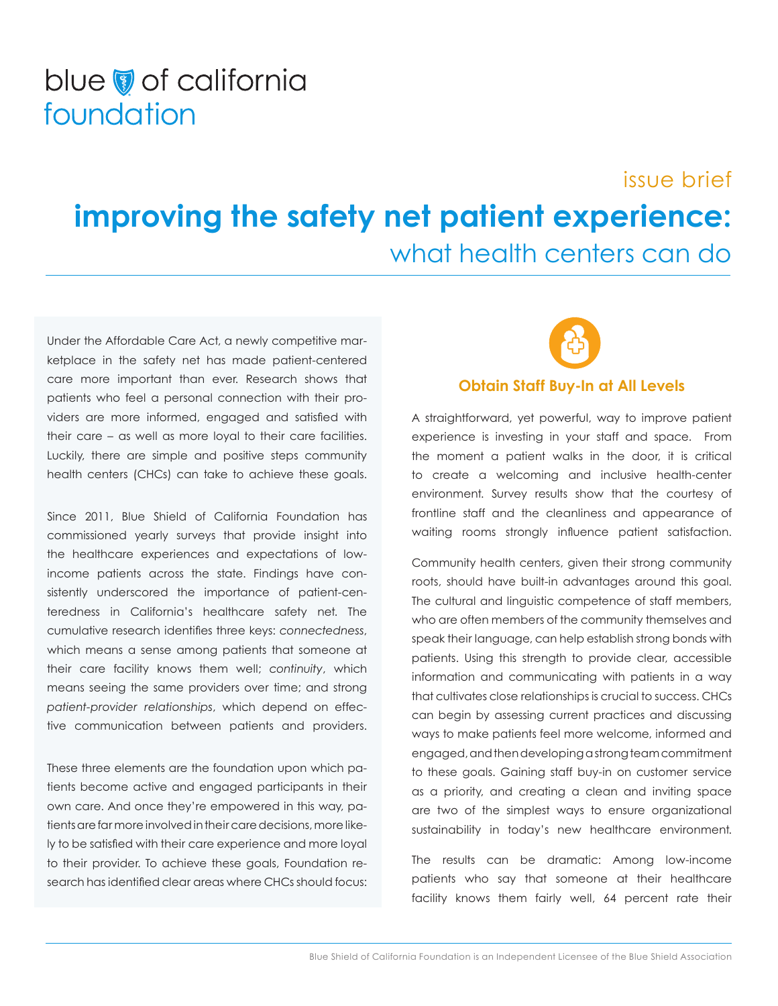## blue of california foundation

### issue brief

# **improving the safety net patient experience:** what health centers can do

Under the Affordable Care Act, a newly competitive marketplace in the safety net has made patient-centered care more important than ever. Research shows that patients who feel a personal connection with their providers are more informed, engaged and satisfied with their care – as well as more loyal to their care facilities. Luckily, there are simple and positive steps community health centers (CHCs) can take to achieve these goals.

Since 2011, Blue Shield of California Foundation has commissioned yearly surveys that provide insight into the healthcare experiences and expectations of lowincome patients across the state. Findings have consistently underscored the importance of patient-centeredness in California's healthcare safety net. The cumulative research identifies three keys: *connectedness*, which means a sense among patients that someone at their care facility knows them well; *continuity*, which means seeing the same providers over time; and strong *patient-provider relationships*, which depend on effective communication between patients and providers.

These three elements are the foundation upon which patients become active and engaged participants in their own care. And once they're empowered in this way, patients are far more involved in their care decisions, more likely to be satisfied with their care experience and more loyal to their provider. To achieve these goals, Foundation research has identified clear areas where CHCs should focus:



#### **Obtain Staff Buy-In at All Levels**

A straightforward, yet powerful, way to improve patient experience is investing in your staff and space. From the moment a patient walks in the door, it is critical to create a welcoming and inclusive health-center environment. Survey results show that the courtesy of frontline staff and the cleanliness and appearance of waiting rooms strongly influence patient satisfaction.

Community health centers, given their strong community roots, should have built-in advantages around this goal. The cultural and linguistic competence of staff members, who are often members of the community themselves and speak their language, can help establish strong bonds with patients. Using this strength to provide clear, accessible information and communicating with patients in a way that cultivates close relationships is crucial to success. CHCs can begin by assessing current practices and discussing ways to make patients feel more welcome, informed and engaged, and then developing a strong team commitment to these goals. Gaining staff buy-in on customer service as a priority, and creating a clean and inviting space are two of the simplest ways to ensure organizational sustainability in today's new healthcare environment.

The results can be dramatic: Among low-income patients who say that someone at their healthcare facility knows them fairly well, 64 percent rate their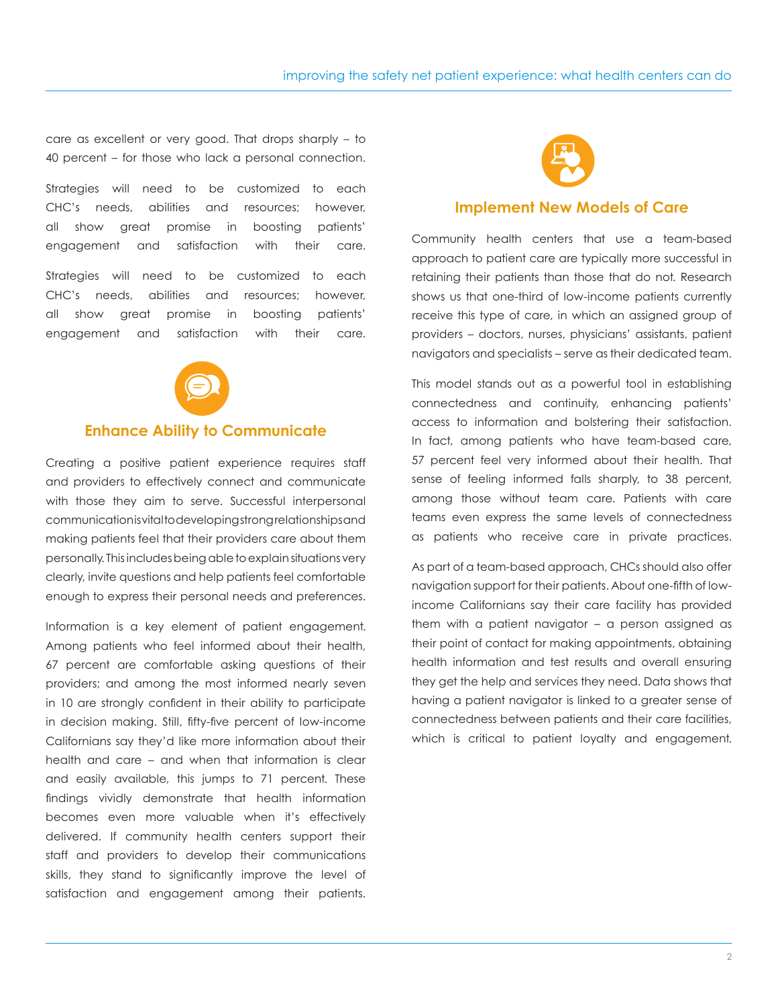care as excellent or very good. That drops sharply – to 40 percent – for those who lack a personal connection.

Strategies will need to be customized to each CHC's needs, abilities and resources; however, all show great promise in boosting patients' engagement and satisfaction with their care.

Strategies will need to be customized to each CHC's needs, abilities and resources; however, all show great promise in boosting patients' engagement and satisfaction with their care.



#### **Enhance Ability to Communicate**

Creating a positive patient experience requires staff and providers to effectively connect and communicate with those they aim to serve. Successful interpersonal communication is vital to developing strong relationships and making patients feel that their providers care about them personally. This includes being able to explain situations very clearly, invite questions and help patients feel comfortable enough to express their personal needs and preferences.

Information is a key element of patient engagement. Among patients who feel informed about their health, 67 percent are comfortable asking questions of their providers; and among the most informed nearly seven in 10 are strongly confident in their ability to participate in decision making. Still, fifty-five percent of low-income Californians say they'd like more information about their health and care – and when that information is clear and easily available, this jumps to 71 percent. These findings vividly demonstrate that health information becomes even more valuable when it's effectively delivered. If community health centers support their staff and providers to develop their communications skills, they stand to significantly improve the level of satisfaction and engagement among their patients.



#### **Implement New Models of Care**

Community health centers that use a team-based approach to patient care are typically more successful in retaining their patients than those that do not. Research shows us that one-third of low-income patients currently receive this type of care, in which an assigned group of providers – doctors, nurses, physicians' assistants, patient navigators and specialists – serve as their dedicated team.

This model stands out as a powerful tool in establishing connectedness and continuity, enhancing patients' access to information and bolstering their satisfaction. In fact, among patients who have team-based care, 57 percent feel very informed about their health. That sense of feeling informed falls sharply, to 38 percent, among those without team care. Patients with care teams even express the same levels of connectedness as patients who receive care in private practices.

As part of a team-based approach, CHCs should also offer navigation support for their patients. About one-fifth of lowincome Californians say their care facility has provided them with a patient navigator – a person assigned as their point of contact for making appointments, obtaining health information and test results and overall ensuring they get the help and services they need. Data shows that having a patient navigator is linked to a greater sense of connectedness between patients and their care facilities, which is critical to patient loyalty and engagement.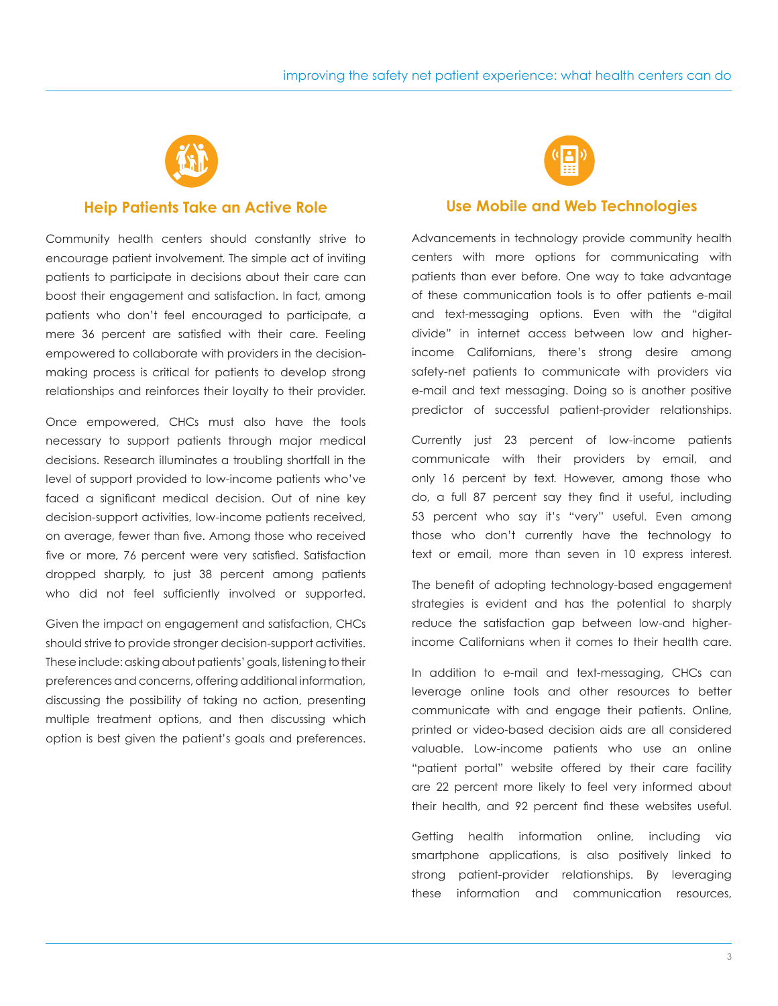

#### **Heip Patients Take an Active Role**

Community health centers should constantly strive to encourage patient involvement. The simple act of inviting patients to participate in decisions about their care can boost their engagement and satisfaction. In fact, among patients who don't feel encouraged to participate, a mere 36 percent are satisfied with their care. Feeling empowered to collaborate with providers in the decisionmaking process is critical for patients to develop strong relationships and reinforces their loyalty to their provider.

Once empowered, CHCs must also have the tools necessary to support patients through major medical decisions. Research illuminates a troubling shortfall in the level of support provided to low-income patients who've faced a significant medical decision. Out of nine key decision-support activities, low-income patients received, on average, fewer than five. Among those who received five or more, 76 percent were very satisfied. Satisfaction dropped sharply, to just 38 percent among patients who did not feel sufficiently involved or supported.

Given the impact on engagement and satisfaction, CHCs should strive to provide stronger decision-support activities. These include: asking about patients' goals, listening to their preferences and concerns, offering additional information, discussing the possibility of taking no action, presenting multiple treatment options, and then discussing which option is best given the patient's goals and preferences.



#### **Use Mobile and Web Technologies**

Advancements in technology provide community health centers with more options for communicating with patients than ever before. One way to take advantage of these communication tools is to offer patients e-mail and text-messaging options. Even with the "digital divide" in internet access between low and higherincome Californians, there's strong desire among safety-net patients to communicate with providers via e-mail and text messaging. Doing so is another positive predictor of successful patient-provider relationships.

Currently just 23 percent of low-income patients communicate with their providers by email, and only 16 percent by text. However, among those who do, a full 87 percent say they find it useful, including 53 percent who say it's "very" useful. Even among those who don't currently have the technology to text or email, more than seven in 10 express interest.

The benefit of adopting technology-based engagement strategies is evident and has the potential to sharply reduce the satisfaction gap between low-and higherincome Californians when it comes to their health care.

In addition to e-mail and text-messaging, CHCs can leverage online tools and other resources to better communicate with and engage their patients. Online, printed or video-based decision aids are all considered valuable. Low-income patients who use an online "patient portal" website offered by their care facility are 22 percent more likely to feel very informed about their health, and 92 percent find these websites useful.

Getting health information online, including via smartphone applications, is also positively linked to strong patient-provider relationships. By leveraging these information and communication resources,